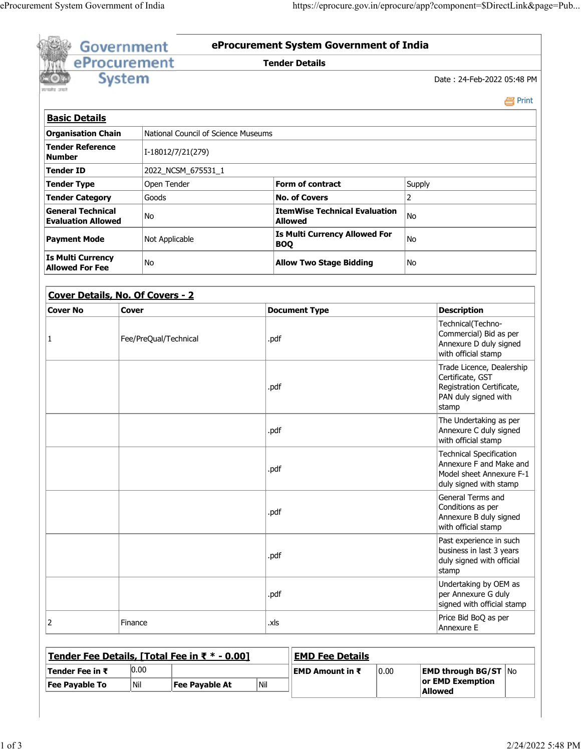| eProcurement<br><b>System</b><br>Date: 24-Feb-2022 05:48 PM<br>National Council of Science Museums<br>I-18012/7/21(279)<br>2022_NCSM_675531_1<br>Open Tender<br><b>Form of contract</b><br>Supply<br>$\overline{2}$<br>Goods<br><b>No. of Covers</b><br><b>ItemWise Technical Evaluation</b><br>No<br>No<br>Allowed<br><b>Is Multi Currency Allowed For</b><br>Not Applicable<br>No<br><b>BOQ</b><br>No<br><b>Allow Two Stage Bidding</b><br>No<br><b>Cover</b><br><b>Document Type</b><br><b>Description</b><br>Technical(Techno-<br>Fee/PreQual/Technical<br>.pdf<br>with official stamp<br>Certificate, GST<br>.pdf<br>PAN duly signed with<br>stamp<br>.pdf<br>with official stamp<br>.pdf<br>General Terms and<br>Conditions as per<br>.pdf<br>with official stamp<br>.pdf<br>stamp<br>per Annexure G duly<br>.pdf<br>Price Bid BoQ as per<br>Finance<br>.xls<br>Annexure E<br><b>EMD Fee Details</b> |                            |  |  |  |  | <b>Tender Details</b>                            |                                                                                                                 |                                                        |
|------------------------------------------------------------------------------------------------------------------------------------------------------------------------------------------------------------------------------------------------------------------------------------------------------------------------------------------------------------------------------------------------------------------------------------------------------------------------------------------------------------------------------------------------------------------------------------------------------------------------------------------------------------------------------------------------------------------------------------------------------------------------------------------------------------------------------------------------------------------------------------------------------------|----------------------------|--|--|--|--|--------------------------------------------------|-----------------------------------------------------------------------------------------------------------------|--------------------------------------------------------|
|                                                                                                                                                                                                                                                                                                                                                                                                                                                                                                                                                                                                                                                                                                                                                                                                                                                                                                            |                            |  |  |  |  |                                                  |                                                                                                                 |                                                        |
|                                                                                                                                                                                                                                                                                                                                                                                                                                                                                                                                                                                                                                                                                                                                                                                                                                                                                                            |                            |  |  |  |  |                                                  |                                                                                                                 |                                                        |
|                                                                                                                                                                                                                                                                                                                                                                                                                                                                                                                                                                                                                                                                                                                                                                                                                                                                                                            |                            |  |  |  |  |                                                  |                                                                                                                 | e Print                                                |
| <b>Organisation Chain</b><br><b>Tender Reference</b><br><b>General Technical</b><br><b>Evaluation Allowed</b><br><b>Is Multi Currency</b><br>Cover Details, No. Of Covers - 2<br><b>Cover No</b><br>1<br>Tender Fee Details, [Total Fee in ₹ * - 0.00]                                                                                                                                                                                                                                                                                                                                                                                                                                                                                                                                                                                                                                                     | <b>Basic Details</b>       |  |  |  |  |                                                  |                                                                                                                 |                                                        |
|                                                                                                                                                                                                                                                                                                                                                                                                                                                                                                                                                                                                                                                                                                                                                                                                                                                                                                            |                            |  |  |  |  |                                                  |                                                                                                                 |                                                        |
|                                                                                                                                                                                                                                                                                                                                                                                                                                                                                                                                                                                                                                                                                                                                                                                                                                                                                                            | <b>Number</b>              |  |  |  |  |                                                  |                                                                                                                 |                                                        |
|                                                                                                                                                                                                                                                                                                                                                                                                                                                                                                                                                                                                                                                                                                                                                                                                                                                                                                            | <b>Tender ID</b>           |  |  |  |  |                                                  |                                                                                                                 |                                                        |
|                                                                                                                                                                                                                                                                                                                                                                                                                                                                                                                                                                                                                                                                                                                                                                                                                                                                                                            | <b>Tender Type</b>         |  |  |  |  |                                                  |                                                                                                                 |                                                        |
|                                                                                                                                                                                                                                                                                                                                                                                                                                                                                                                                                                                                                                                                                                                                                                                                                                                                                                            | <b>Tender Category</b>     |  |  |  |  |                                                  |                                                                                                                 |                                                        |
|                                                                                                                                                                                                                                                                                                                                                                                                                                                                                                                                                                                                                                                                                                                                                                                                                                                                                                            |                            |  |  |  |  |                                                  |                                                                                                                 |                                                        |
|                                                                                                                                                                                                                                                                                                                                                                                                                                                                                                                                                                                                                                                                                                                                                                                                                                                                                                            | <b>Payment Mode</b>        |  |  |  |  |                                                  |                                                                                                                 |                                                        |
|                                                                                                                                                                                                                                                                                                                                                                                                                                                                                                                                                                                                                                                                                                                                                                                                                                                                                                            | <b>Allowed For Fee</b>     |  |  |  |  |                                                  |                                                                                                                 |                                                        |
|                                                                                                                                                                                                                                                                                                                                                                                                                                                                                                                                                                                                                                                                                                                                                                                                                                                                                                            |                            |  |  |  |  |                                                  |                                                                                                                 |                                                        |
|                                                                                                                                                                                                                                                                                                                                                                                                                                                                                                                                                                                                                                                                                                                                                                                                                                                                                                            |                            |  |  |  |  |                                                  |                                                                                                                 |                                                        |
|                                                                                                                                                                                                                                                                                                                                                                                                                                                                                                                                                                                                                                                                                                                                                                                                                                                                                                            |                            |  |  |  |  |                                                  |                                                                                                                 |                                                        |
|                                                                                                                                                                                                                                                                                                                                                                                                                                                                                                                                                                                                                                                                                                                                                                                                                                                                                                            |                            |  |  |  |  | Commercial) Bid as per<br>Annexure D duly signed |                                                                                                                 |                                                        |
|                                                                                                                                                                                                                                                                                                                                                                                                                                                                                                                                                                                                                                                                                                                                                                                                                                                                                                            |                            |  |  |  |  |                                                  |                                                                                                                 | Trade Licence, Dealership<br>Registration Certificate, |
|                                                                                                                                                                                                                                                                                                                                                                                                                                                                                                                                                                                                                                                                                                                                                                                                                                                                                                            |                            |  |  |  |  |                                                  | The Undertaking as per<br>Annexure C duly signed                                                                |                                                        |
|                                                                                                                                                                                                                                                                                                                                                                                                                                                                                                                                                                                                                                                                                                                                                                                                                                                                                                            |                            |  |  |  |  |                                                  | <b>Technical Specification</b><br>Annexure F and Make and<br>Model sheet Annexure F-1<br>duly signed with stamp |                                                        |
|                                                                                                                                                                                                                                                                                                                                                                                                                                                                                                                                                                                                                                                                                                                                                                                                                                                                                                            |                            |  |  |  |  |                                                  | Annexure B duly signed                                                                                          |                                                        |
|                                                                                                                                                                                                                                                                                                                                                                                                                                                                                                                                                                                                                                                                                                                                                                                                                                                                                                            |                            |  |  |  |  |                                                  | Past experience in such<br>business in last 3 years<br>duly signed with official                                |                                                        |
|                                                                                                                                                                                                                                                                                                                                                                                                                                                                                                                                                                                                                                                                                                                                                                                                                                                                                                            |                            |  |  |  |  |                                                  | Undertaking by OEM as<br>signed with official stamp                                                             |                                                        |
|                                                                                                                                                                                                                                                                                                                                                                                                                                                                                                                                                                                                                                                                                                                                                                                                                                                                                                            | 2                          |  |  |  |  |                                                  |                                                                                                                 |                                                        |
|                                                                                                                                                                                                                                                                                                                                                                                                                                                                                                                                                                                                                                                                                                                                                                                                                                                                                                            |                            |  |  |  |  |                                                  |                                                                                                                 |                                                        |
| 0.00<br>EMD Amount in $\bar{x}$<br>0.00                                                                                                                                                                                                                                                                                                                                                                                                                                                                                                                                                                                                                                                                                                                                                                                                                                                                    | Tender Fee in $\bar{\tau}$ |  |  |  |  |                                                  |                                                                                                                 | <b>EMD through BG/ST   No</b>                          |

**Fee Payable To** Nil **Fee Payable At** Nil

**Allowed**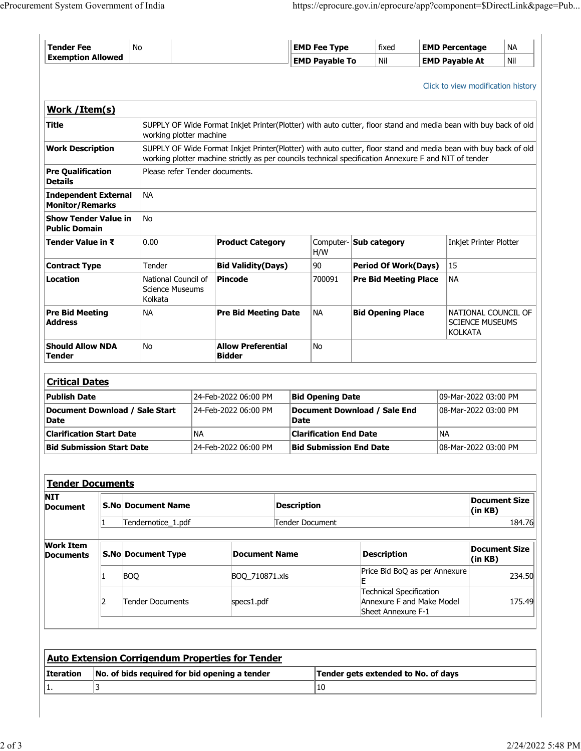| <b>Tender Fee</b>                                                           |             | No         |                                |           |                                                                                                                                                                                                                          |                      | <b>EMD Fee Type</b>            |                                                             | fixed                                           | <b>EMD Percentage</b>         |                                               |                                    | <b>NA</b>                          |
|-----------------------------------------------------------------------------|-------------|------------|--------------------------------|-----------|--------------------------------------------------------------------------------------------------------------------------------------------------------------------------------------------------------------------------|----------------------|--------------------------------|-------------------------------------------------------------|-------------------------------------------------|-------------------------------|-----------------------------------------------|------------------------------------|------------------------------------|
| <b>Exemption Allowed</b>                                                    |             |            |                                |           |                                                                                                                                                                                                                          |                      | <b>EMD Payable To</b>          |                                                             | Nil                                             | <b>EMD Payable At</b>         |                                               |                                    | Nil                                |
|                                                                             |             |            |                                |           |                                                                                                                                                                                                                          |                      |                                |                                                             |                                                 |                               |                                               |                                    |                                    |
|                                                                             |             |            |                                |           |                                                                                                                                                                                                                          |                      |                                |                                                             |                                                 |                               |                                               |                                    | Click to view modification history |
| Work / Item(s)                                                              |             |            |                                |           |                                                                                                                                                                                                                          |                      |                                |                                                             |                                                 |                               |                                               |                                    |                                    |
| Title                                                                       |             |            |                                |           | SUPPLY OF Wide Format Inkjet Printer(Plotter) with auto cutter, floor stand and media bean with buy back of old                                                                                                          |                      |                                |                                                             |                                                 |                               |                                               |                                    |                                    |
|                                                                             |             |            | working plotter machine        |           |                                                                                                                                                                                                                          |                      |                                |                                                             |                                                 |                               |                                               |                                    |                                    |
| <b>Work Description</b>                                                     |             |            |                                |           | SUPPLY OF Wide Format Inkjet Printer(Plotter) with auto cutter, floor stand and media bean with buy back of old<br>working plotter machine strictly as per councils technical specification Annexure F and NIT of tender |                      |                                |                                                             |                                                 |                               |                                               |                                    |                                    |
| <b>Pre Qualification</b>                                                    |             |            | Please refer Tender documents. |           |                                                                                                                                                                                                                          |                      |                                |                                                             |                                                 |                               |                                               |                                    |                                    |
| <b>Details</b>                                                              |             |            |                                |           |                                                                                                                                                                                                                          |                      |                                |                                                             |                                                 |                               |                                               |                                    |                                    |
| <b>Independent External</b>                                                 |             |            | <b>NA</b>                      |           |                                                                                                                                                                                                                          |                      |                                |                                                             |                                                 |                               |                                               |                                    |                                    |
| <b>Monitor/Remarks</b><br><b>Show Tender Value in</b>                       |             |            | <b>No</b>                      |           |                                                                                                                                                                                                                          |                      |                                |                                                             |                                                 |                               |                                               |                                    |                                    |
| <b>Public Domain</b>                                                        |             |            |                                |           |                                                                                                                                                                                                                          |                      |                                |                                                             |                                                 |                               |                                               |                                    |                                    |
| Tender Value in ₹                                                           |             |            | 0.00                           |           | <b>Product Category</b>                                                                                                                                                                                                  |                      | H/W                            | Computer- Sub category                                      |                                                 | <b>Inkjet Printer Plotter</b> |                                               |                                    |                                    |
|                                                                             |             |            |                                |           |                                                                                                                                                                                                                          |                      |                                |                                                             |                                                 |                               |                                               |                                    |                                    |
| <b>Contract Type</b><br>Location                                            |             |            | Tender<br>National Council of  |           | <b>Bid Validity(Days)</b><br>Pincode                                                                                                                                                                                     |                      | 90<br>700091                   | <b>Period Of Work(Days)</b><br><b>Pre Bid Meeting Place</b> |                                                 |                               | 15<br><b>NA</b>                               |                                    |                                    |
|                                                                             |             |            | <b>Science Museums</b>         |           |                                                                                                                                                                                                                          |                      |                                |                                                             |                                                 |                               |                                               |                                    |                                    |
|                                                                             |             |            | Kolkata                        |           |                                                                                                                                                                                                                          |                      |                                |                                                             |                                                 |                               |                                               |                                    |                                    |
| <b>Pre Bid Meeting</b><br><b>Address</b>                                    |             |            | <b>NA</b>                      |           | <b>Pre Bid Meeting Date</b>                                                                                                                                                                                              |                      | <b>NA</b>                      | <b>Bid Opening Place</b>                                    |                                                 |                               | NATIONAL COUNCIL OF<br><b>SCIENCE MUSEUMS</b> |                                    |                                    |
|                                                                             |             |            |                                |           |                                                                                                                                                                                                                          |                      |                                |                                                             |                                                 |                               | KOLKATA                                       |                                    |                                    |
| <b>Should Allow NDA</b><br><b>Tender</b>                                    |             |            | No                             |           | <b>Allow Preferential</b><br><b>Bidder</b>                                                                                                                                                                               |                      | <b>No</b>                      |                                                             |                                                 |                               |                                               |                                    |                                    |
|                                                                             |             |            |                                |           |                                                                                                                                                                                                                          |                      |                                |                                                             |                                                 |                               |                                               |                                    |                                    |
| <b>Critical Dates</b>                                                       |             |            |                                |           |                                                                                                                                                                                                                          |                      |                                |                                                             |                                                 |                               |                                               |                                    |                                    |
| <b>Publish Date</b>                                                         |             |            |                                |           | 24-Feb-2022 06:00 PM                                                                                                                                                                                                     |                      | <b>Bid Opening Date</b>        |                                                             |                                                 |                               |                                               | 09-Mar-2022 03:00 PM               |                                    |
| Document Download / Sale Start                                              |             |            |                                |           | 24-Feb-2022 06:00 PM                                                                                                                                                                                                     |                      |                                | Document Download / Sale End                                |                                                 |                               |                                               | 08-Mar-2022 03:00 PM               |                                    |
| <b>Date</b>                                                                 |             |            |                                |           |                                                                                                                                                                                                                          | <b>Date</b>          |                                |                                                             |                                                 |                               |                                               |                                    |                                    |
| <b>Clarification Start Date</b>                                             |             |            |                                | <b>NA</b> |                                                                                                                                                                                                                          |                      | <b>Clarification End Date</b>  |                                                             |                                                 | <b>NA</b>                     |                                               |                                    |                                    |
| <b>Bid Submission Start Date</b>                                            |             |            |                                |           | 24-Feb-2022 06:00 PM                                                                                                                                                                                                     |                      | <b>Bid Submission End Date</b> |                                                             |                                                 |                               |                                               | 08-Mar-2022 03:00 PM               |                                    |
|                                                                             |             |            |                                |           |                                                                                                                                                                                                                          |                      |                                |                                                             |                                                 |                               |                                               |                                    |                                    |
| <b>Tender Documents</b>                                                     |             |            |                                |           |                                                                                                                                                                                                                          |                      |                                |                                                             |                                                 |                               |                                               |                                    |                                    |
| <b>NIT</b><br><b>Document</b>                                               |             |            | <b>S.No Document Name</b>      |           |                                                                                                                                                                                                                          | <b>Description</b>   |                                |                                                             |                                                 |                               |                                               |                                    | <b>Document Size</b>               |
|                                                                             | $\mathbf 1$ |            | Tendernotice_1.pdf             |           | Tender Document                                                                                                                                                                                                          |                      |                                |                                                             |                                                 |                               | (in KB)                                       | 184.76                             |                                    |
|                                                                             |             |            |                                |           |                                                                                                                                                                                                                          |                      |                                |                                                             |                                                 |                               |                                               |                                    |                                    |
| <b>Work Item</b>                                                            |             |            | <b>S.No Document Type</b>      |           |                                                                                                                                                                                                                          | <b>Document Name</b> |                                |                                                             | <b>Description</b>                              |                               |                                               | <b>Document Size</b><br>$($ in KB) |                                    |
| <b>Documents</b>                                                            |             |            |                                |           |                                                                                                                                                                                                                          |                      |                                |                                                             |                                                 |                               |                                               |                                    |                                    |
|                                                                             | 1           | <b>BOQ</b> |                                |           | BOQ_710871.xls                                                                                                                                                                                                           |                      |                                | Price Bid BoQ as per Annexure                               |                                                 |                               |                                               |                                    | 234.50                             |
|                                                                             |             |            |                                |           |                                                                                                                                                                                                                          |                      |                                |                                                             | Technical Specification                         |                               |                                               |                                    |                                    |
| 2                                                                           |             |            | Tender Documents<br>specs1.pdf |           |                                                                                                                                                                                                                          |                      |                                |                                                             | Annexure F and Make Model<br>Sheet Annexure F-1 |                               | 175.49                                        |                                    |                                    |
|                                                                             |             |            |                                |           |                                                                                                                                                                                                                          |                      |                                |                                                             |                                                 |                               |                                               |                                    |                                    |
|                                                                             |             |            |                                |           |                                                                                                                                                                                                                          |                      |                                |                                                             |                                                 |                               |                                               |                                    |                                    |
|                                                                             |             |            |                                |           |                                                                                                                                                                                                                          |                      |                                |                                                             |                                                 |                               |                                               |                                    |                                    |
|                                                                             |             |            |                                |           |                                                                                                                                                                                                                          |                      |                                |                                                             |                                                 |                               |                                               |                                    |                                    |
| <b>Auto Extension Corrigendum Properties for Tender</b><br><b>Iteration</b> |             |            |                                |           | No. of bids required for bid opening a tender                                                                                                                                                                            |                      |                                |                                                             | Tender gets extended to No. of days             |                               |                                               |                                    |                                    |